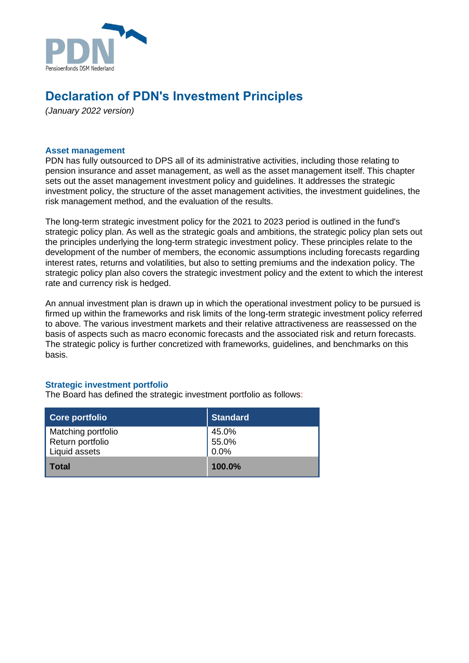

# **Declaration of PDN's Investment Principles**

*(January 2022 version)*

## **Asset management**

PDN has fully outsourced to DPS all of its administrative activities, including those relating to pension insurance and asset management, as well as the asset management itself. This chapter sets out the asset management investment policy and guidelines. It addresses the strategic investment policy, the structure of the asset management activities, the investment guidelines, the risk management method, and the evaluation of the results.

The long-term strategic investment policy for the 2021 to 2023 period is outlined in the fund's strategic policy plan. As well as the strategic goals and ambitions, the strategic policy plan sets out the principles underlying the long-term strategic investment policy. These principles relate to the development of the number of members, the economic assumptions including forecasts regarding interest rates, returns and volatilities, but also to setting premiums and the indexation policy. The strategic policy plan also covers the strategic investment policy and the extent to which the interest rate and currency risk is hedged.

An annual investment plan is drawn up in which the operational investment policy to be pursued is firmed up within the frameworks and risk limits of the long-term strategic investment policy referred to above. The various investment markets and their relative attractiveness are reassessed on the basis of aspects such as macro economic forecasts and the associated risk and return forecasts. The strategic policy is further concretized with frameworks, guidelines, and benchmarks on this basis.

### **Strategic investment portfolio**

The Board has defined the strategic investment portfolio as follows:

| Core portfolio     | <b>Standard</b> |
|--------------------|-----------------|
| Matching portfolio | 45.0%           |
| Return portfolio   | 55.0%           |
| Liquid assets      | $0.0\%$         |
| Total              | 100.0%          |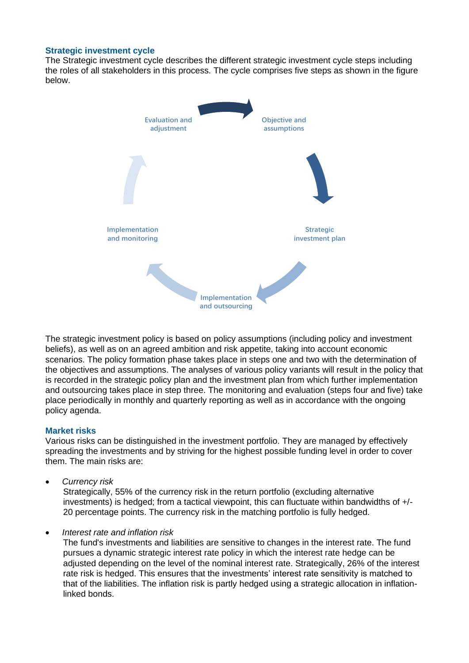## **Strategic investment cycle**

The Strategic investment cycle describes the different strategic investment cycle steps including the roles of all stakeholders in this process. The cycle comprises five steps as shown in the figure below.



The strategic investment policy is based on policy assumptions (including policy and investment beliefs), as well as on an agreed ambition and risk appetite, taking into account economic scenarios. The policy formation phase takes place in steps one and two with the determination of the objectives and assumptions. The analyses of various policy variants will result in the policy that is recorded in the strategic policy plan and the investment plan from which further implementation and outsourcing takes place in step three. The monitoring and evaluation (steps four and five) take place periodically in monthly and quarterly reporting as well as in accordance with the ongoing policy agenda.

#### **Market risks**

Various risks can be distinguished in the investment portfolio. They are managed by effectively spreading the investments and by striving for the highest possible funding level in order to cover them. The main risks are:

• *Currency risk*

Strategically, 55% of the currency risk in the return portfolio (excluding alternative investments) is hedged; from a tactical viewpoint, this can fluctuate within bandwidths of +/- 20 percentage points. The currency risk in the matching portfolio is fully hedged.

• *Interest rate and inflation risk*

The fund's investments and liabilities are sensitive to changes in the interest rate. The fund pursues a dynamic strategic interest rate policy in which the interest rate hedge can be adjusted depending on the level of the nominal interest rate. Strategically, 26% of the interest rate risk is hedged. This ensures that the investments' interest rate sensitivity is matched to that of the liabilities. The inflation risk is partly hedged using a strategic allocation in inflationlinked bonds.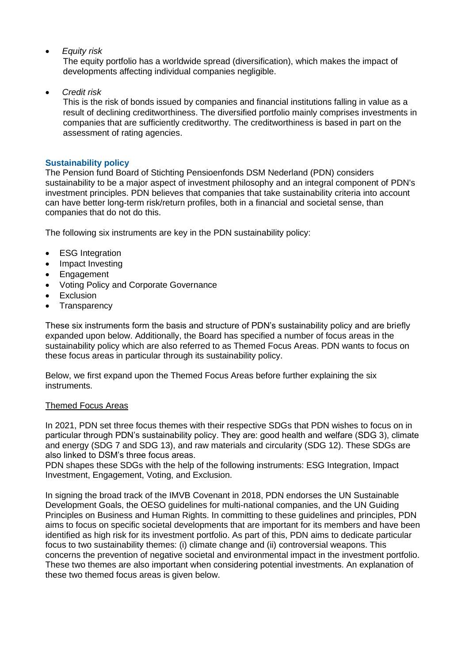• *Equity risk*

The equity portfolio has a worldwide spread (diversification), which makes the impact of developments affecting individual companies negligible.

• *Credit risk*

This is the risk of bonds issued by companies and financial institutions falling in value as a result of declining creditworthiness. The diversified portfolio mainly comprises investments in companies that are sufficiently creditworthy. The creditworthiness is based in part on the assessment of rating agencies.

# **Sustainability policy**

The Pension fund Board of Stichting Pensioenfonds DSM Nederland (PDN) considers sustainability to be a major aspect of investment philosophy and an integral component of PDN's investment principles. PDN believes that companies that take sustainability criteria into account can have better long-term risk/return profiles, both in a financial and societal sense, than companies that do not do this.

The following six instruments are key in the PDN sustainability policy:

- ESG Integration
- Impact Investing
- Engagement
- Voting Policy and Corporate Governance
- Exclusion
- Transparency

These six instruments form the basis and structure of PDN's sustainability policy and are briefly expanded upon below. Additionally, the Board has specified a number of focus areas in the sustainability policy which are also referred to as Themed Focus Areas. PDN wants to focus on these focus areas in particular through its sustainability policy.

Below, we first expand upon the Themed Focus Areas before further explaining the six instruments.

# Themed Focus Areas

In 2021, PDN set three focus themes with their respective SDGs that PDN wishes to focus on in particular through PDN's sustainability policy. They are: good health and welfare (SDG 3), climate and energy (SDG 7 and SDG 13), and raw materials and circularity (SDG 12). These SDGs are also linked to DSM's three focus areas.

PDN shapes these SDGs with the help of the following instruments: ESG Integration, Impact Investment, Engagement, Voting, and Exclusion.

In signing the broad track of the IMVB Covenant in 2018, PDN endorses the UN Sustainable Development Goals, the OESO guidelines for multi-national companies, and the UN Guiding Principles on Business and Human Rights. In committing to these guidelines and principles, PDN aims to focus on specific societal developments that are important for its members and have been identified as high risk for its investment portfolio. As part of this, PDN aims to dedicate particular focus to two sustainability themes: (i) climate change and (ii) controversial weapons. This concerns the prevention of negative societal and environmental impact in the investment portfolio. These two themes are also important when considering potential investments. An explanation of these two themed focus areas is given below.